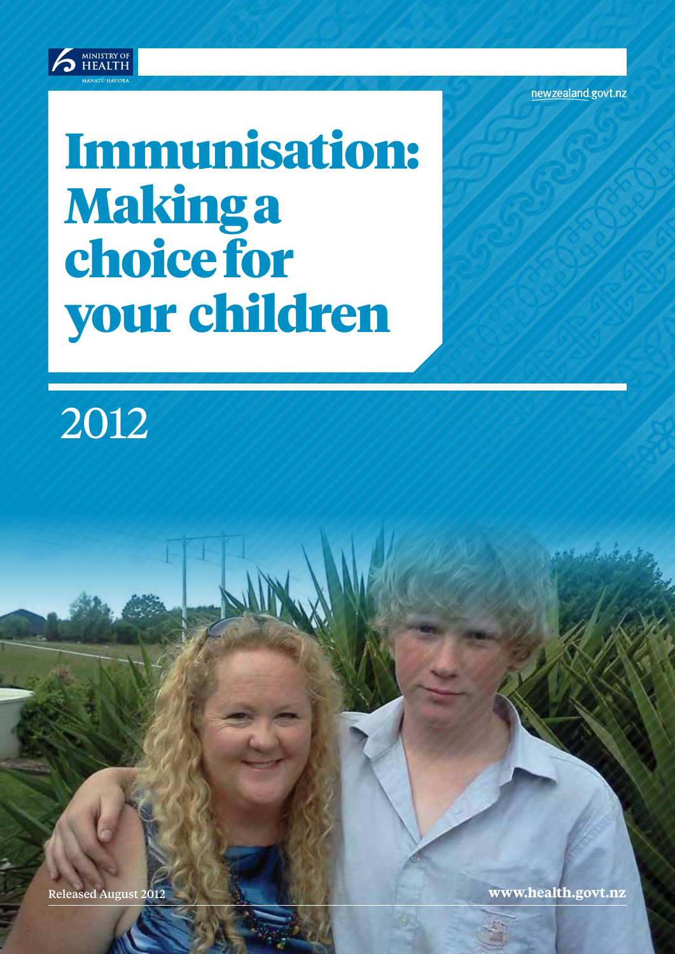

newzealand.govt.nz

# Immunisation: Making a choice for your children

2012

Released August 2012 **www.health.govt.nz**

Listie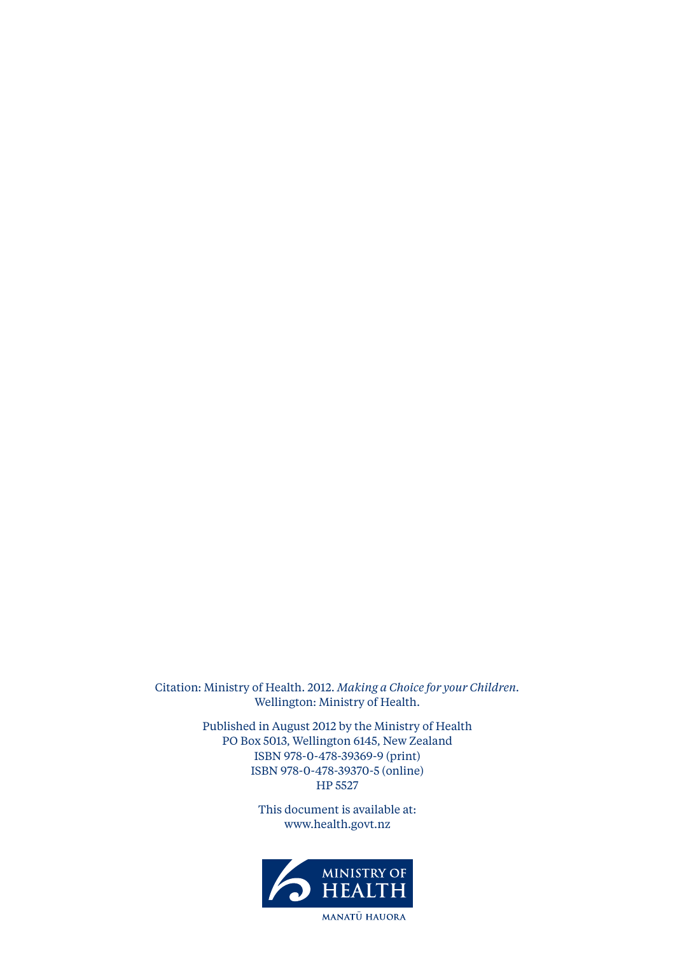Citation: Ministry of Health. 2012. *Making a Choice for your Children.* Wellington: Ministry of Health.

> Published in August 2012 by the Ministry of Health PO Box 5013, Wellington 6145, New Zealand ISBN 978-0-478-39369-9 (print) ISBN 978-0-478-39370-5 (online) HP 5527

> > This document is available at: www.health.govt.nz

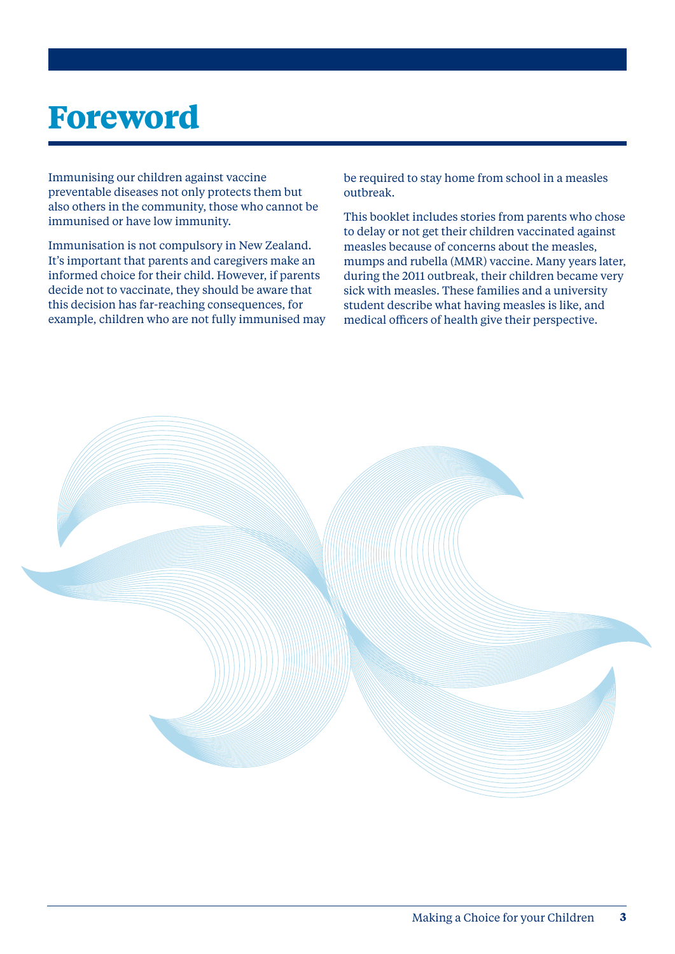### **Foreword**

Immunising our children against vaccine preventable diseases not only protects them but also others in the community, those who cannot be immunised or have low immunity.

Immunisation is not compulsory in New Zealand. It's important that parents and caregivers make an informed choice for their child. However, if parents decide not to vaccinate, they should be aware that this decision has far-reaching consequences, for example, children who are not fully immunised may be required to stay home from school in a measles outbreak.

This booklet includes stories from parents who chose to delay or not get their children vaccinated against measles because of concerns about the measles, mumps and rubella (MMR) vaccine. Many years later, during the 2011 outbreak, their children became very sick with measles. These families and a university student describe what having measles is like, and medical officers of health give their perspective.

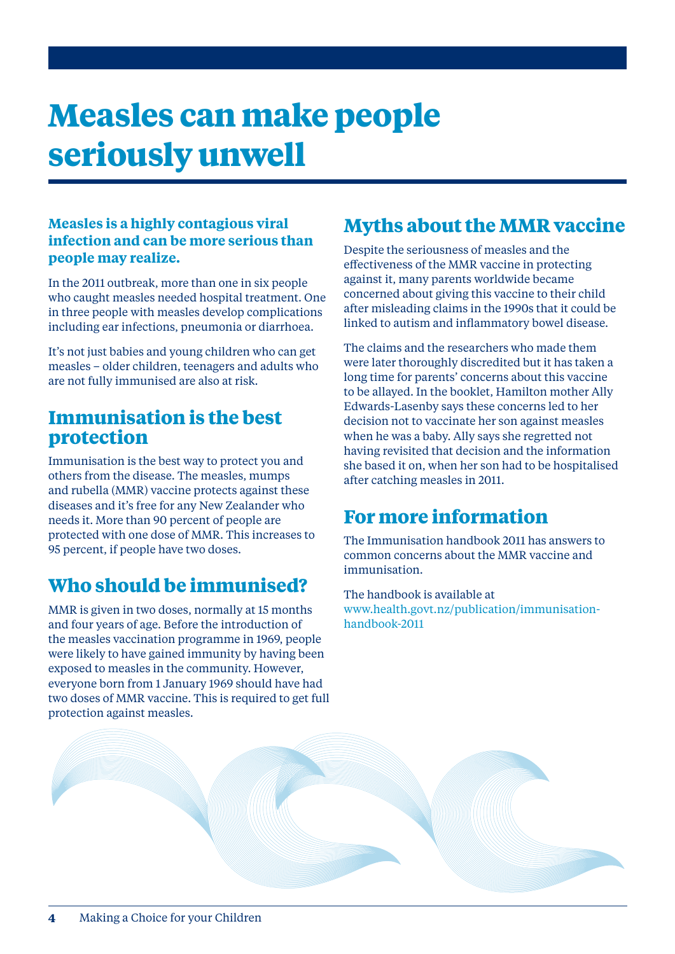### **Measles can make people seriously unwell**

#### **Measles is a highly contagious viral infection and can be more serious than people may realize.**

In the 2011 outbreak, more than one in six people who caught measles needed hospital treatment. One in three people with measles develop complications including ear infections, pneumonia or diarrhoea.

It's not just babies and young children who can get measles – older children, teenagers and adults who are not fully immunised are also at risk.

#### **Immunisation is the best protection**

Immunisation is the best way to protect you and others from the disease. The measles, mumps and rubella (MMR) vaccine protects against these diseases and it's free for any New Zealander who needs it. More than 90 percent of people are protected with one dose of MMR. This increases to 95 percent, if people have two doses.

#### **Who should be immunised?**

MMR is given in two doses, normally at 15 months and four years of age. Before the introduction of the measles vaccination programme in 1969, people were likely to have gained immunity by having been exposed to measles in the community. However, everyone born from 1 January 1969 should have had two doses of MMR vaccine. This is required to get full protection against measles.

#### **Myths about the MMR vaccine**

Despite the seriousness of measles and the effectiveness of the MMR vaccine in protecting against it, many parents worldwide became concerned about giving this vaccine to their child after misleading claims in the 1990s that it could be linked to autism and inflammatory bowel disease.

The claims and the researchers who made them were later thoroughly discredited but it has taken a long time for parents' concerns about this vaccine to be allayed. In the booklet, Hamilton mother Ally Edwards-Lasenby says these concerns led to her decision not to vaccinate her son against measles when he was a baby. Ally says she regretted not having revisited that decision and the information she based it on, when her son had to be hospitalised after catching measles in 2011.

### **For more information**

The Immunisation handbook 2011 has answers to common concerns about the MMR vaccine and immunisation.

The handbook is available at www.health.govt.nz/publication/immunisationhandbook-2011

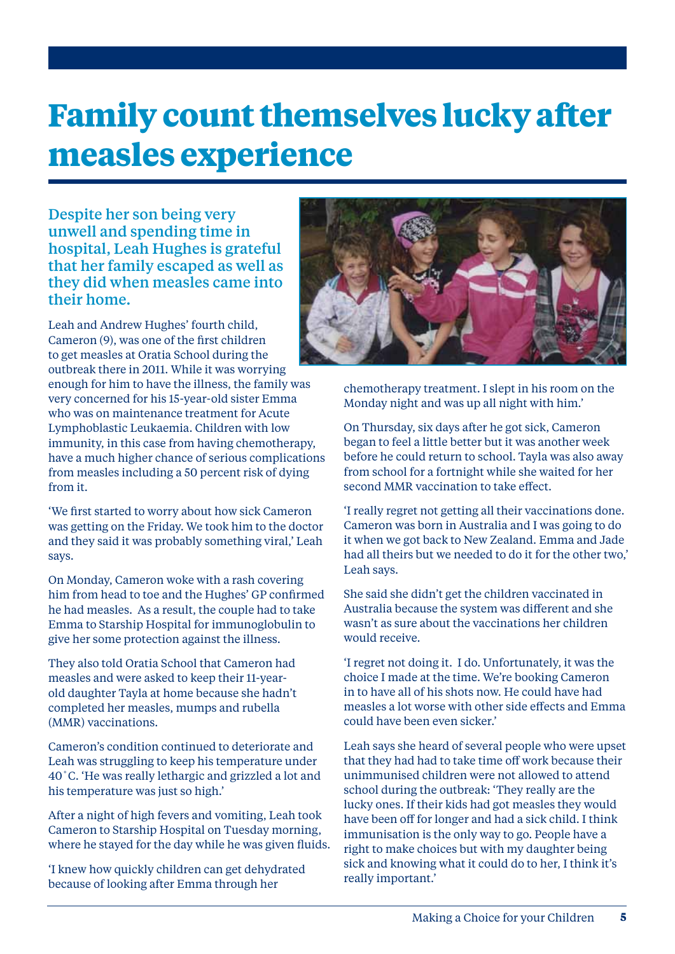### **Family count themselves lucky after measles experience**

Despite her son being very unwell and spending time in hospital, Leah Hughes is grateful that her family escaped as well as they did when measles came into their home.

Leah and Andrew Hughes' fourth child, Cameron (9), was one of the first children to get measles at Oratia School during the outbreak there in 2011. While it was worrying enough for him to have the illness, the family was very concerned for his 15-year-old sister Emma who was on maintenance treatment for Acute Lymphoblastic Leukaemia. Children with low immunity, in this case from having chemotherapy, have a much higher chance of serious complications from measles including a 50 percent risk of dying from it.

'We first started to worry about how sick Cameron was getting on the Friday. We took him to the doctor and they said it was probably something viral,' Leah says.

On Monday, Cameron woke with a rash covering him from head to toe and the Hughes' GP confirmed he had measles. As a result, the couple had to take Emma to Starship Hospital for immunoglobulin to give her some protection against the illness.

They also told Oratia School that Cameron had measles and were asked to keep their 11-yearold daughter Tayla at home because she hadn't completed her measles, mumps and rubella (MMR) vaccinations.

Cameron's condition continued to deteriorate and Leah was struggling to keep his temperature under 40˚C. 'He was really lethargic and grizzled a lot and his temperature was just so high.'

After a night of high fevers and vomiting, Leah took Cameron to Starship Hospital on Tuesday morning, where he stayed for the day while he was given fluids.

'I knew how quickly children can get dehydrated because of looking after Emma through her



chemotherapy treatment. I slept in his room on the Monday night and was up all night with him.'

On Thursday, six days after he got sick, Cameron began to feel a little better but it was another week before he could return to school. Tayla was also away from school for a fortnight while she waited for her second MMR vaccination to take effect.

'I really regret not getting all their vaccinations done. Cameron was born in Australia and I was going to do it when we got back to New Zealand. Emma and Jade had all theirs but we needed to do it for the other two,' Leah says.

She said she didn't get the children vaccinated in Australia because the system was different and she wasn't as sure about the vaccinations her children would receive.

'I regret not doing it. I do. Unfortunately, it was the choice I made at the time. We're booking Cameron in to have all of his shots now. He could have had measles a lot worse with other side effects and Emma could have been even sicker.'

Leah says she heard of several people who were upset that they had had to take time off work because their unimmunised children were not allowed to attend school during the outbreak: 'They really are the lucky ones. If their kids had got measles they would have been off for longer and had a sick child. I think immunisation is the only way to go. People have a right to make choices but with my daughter being sick and knowing what it could do to her, I think it's really important.'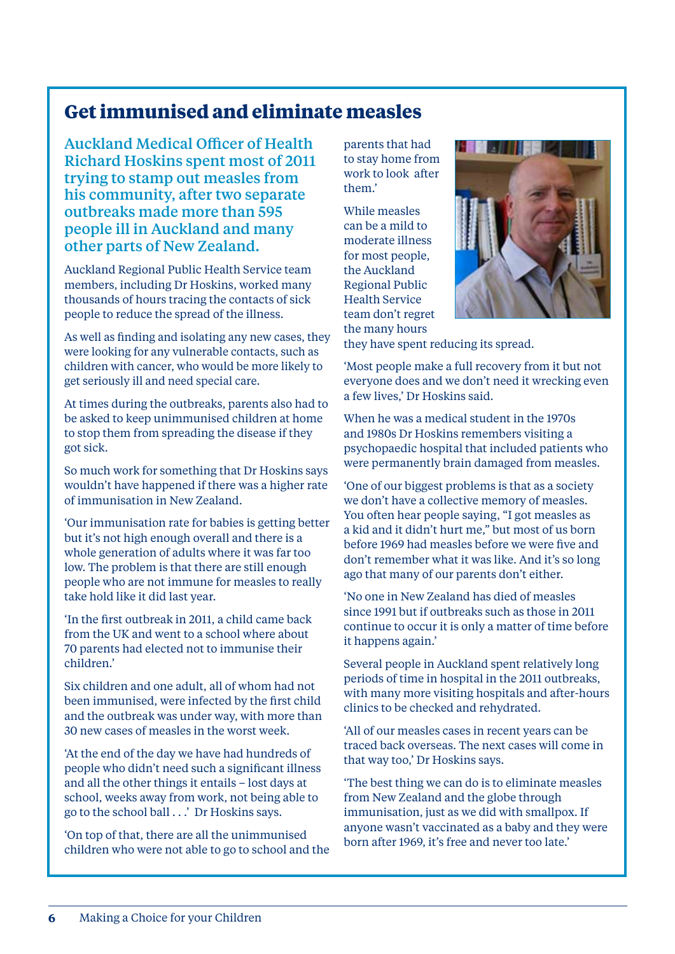#### **Get immunised and eliminate measles**

Auckland Medical Officer of Health Richard Hoskins spent most of 2011 trying to stamp out measles from his community, after two separate outbreaks made more than 595 people ill in Auckland and many other parts of New Zealand.

Auckland Regional Public Health Service team members, including Dr Hoskins, worked many thousands of hours tracing the contacts of sick people to reduce the spread of the illness.

As well as finding and isolating any new cases, they were looking for any vulnerable contacts, such as children with cancer, who would be more likely to get seriously ill and need special care.

At times during the outbreaks, parents also had to be asked to keep unimmunised children at home to stop them from spreading the disease if they got sick.

So much work for something that Dr Hoskins says wouldn't have happened if there was a higher rate of immunisation in New Zealand.

'Our immunisation rate for babies is getting better but it's not high enough overall and there is a whole generation of adults where it was far too low. The problem is that there are still enough people who are not immune for measles to really take hold like it did last year.

'In the first outbreak in 2011, a child came back from the UK and went to a school where about 70 parents had elected not to immunise their children.'

Six children and one adult, all of whom had not been immunised, were infected by the first child and the outbreak was under way, with more than 30 new cases of measles in the worst week.

'At the end of the day we have had hundreds of people who didn't need such a significant illness and all the other things it entails – lost days at school, weeks away from work, not being able to go to the school ball . . .' Dr Hoskins says.

'On top of that, there are all the unimmunised children who were not able to go to school and the parents that had to stay home from work to look after them.'

While measles can be a mild to moderate illness for most people, the Auckland Regional Public Health Service team don't regret the many hours



they have spent reducing its spread.

'Most people make a full recovery from it but not everyone does and we don't need it wrecking even a few lives,' Dr Hoskins said.

When he was a medical student in the 1970s and 1980s Dr Hoskins remembers visiting a psychopaedic hospital that included patients who were permanently brain damaged from measles.

'One of our biggest problems is that as a society we don't have a collective memory of measles. You often hear people saying, "I got measles as a kid and it didn't hurt me," but most of us born before 1969 had measles before we were five and don't remember what it was like. And it's so long ago that many of our parents don't either.

'No one in New Zealand has died of measles since 1991 but if outbreaks such as those in 2011 continue to occur it is only a matter of time before it happens again.'

Several people in Auckland spent relatively long periods of time in hospital in the 2011 outbreaks, with many more visiting hospitals and after-hours clinics to be checked and rehydrated.

'All of our measles cases in recent years can be traced back overseas. The next cases will come in that way too,' Dr Hoskins says.

'The best thing we can do is to eliminate measles from New Zealand and the globe through immunisation, just as we did with smallpox. If anyone wasn't vaccinated as a baby and they were born after 1969, it's free and never too late.'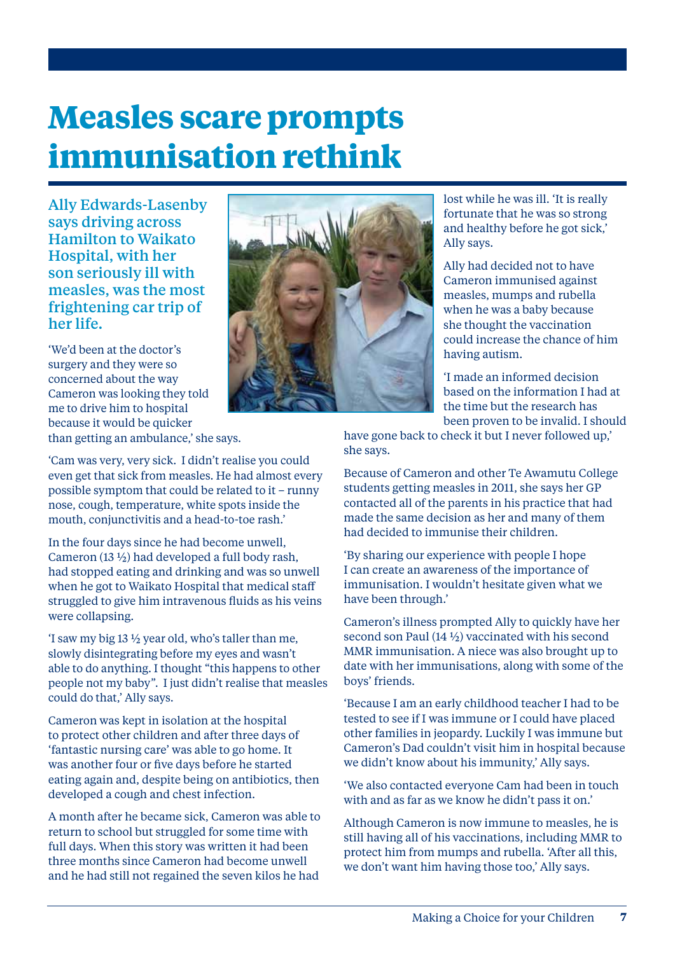### **Measles scare prompts immunisation rethink**

Ally Edwards-Lasenby says driving across Hamilton to Waikato Hospital, with her son seriously ill with measles, was the most frightening car trip of her life.

'We'd been at the doctor's surgery and they were so concerned about the way Cameron was looking they told me to drive him to hospital because it would be quicker than getting an ambulance,' she says.

'Cam was very, very sick. I didn't realise you could even get that sick from measles. He had almost every possible symptom that could be related to it – runny nose, cough, temperature, white spots inside the mouth, conjunctivitis and a head-to-toe rash.'

In the four days since he had become unwell, Cameron (13 ½) had developed a full body rash, had stopped eating and drinking and was so unwell when he got to Waikato Hospital that medical staff struggled to give him intravenous fluids as his veins were collapsing.

'I saw my big 13 ½ year old, who's taller than me, slowly disintegrating before my eyes and wasn't able to do anything. I thought "this happens to other people not my baby". I just didn't realise that measles could do that,' Ally says.

Cameron was kept in isolation at the hospital to protect other children and after three days of 'fantastic nursing care' was able to go home. It was another four or five days before he started eating again and, despite being on antibiotics, then developed a cough and chest infection.

A month after he became sick, Cameron was able to return to school but struggled for some time with full days. When this story was written it had been three months since Cameron had become unwell and he had still not regained the seven kilos he had

fortunate that he was so strong and healthy before he got sick,' Ally says. Ally had decided not to have Cameron immunised against

lost while he was ill. 'It is really

measles, mumps and rubella when he was a baby because she thought the vaccination could increase the chance of him having autism.

'I made an informed decision based on the information I had at the time but the research has been proven to be invalid. I should

have gone back to check it but I never followed up,' she says.

Because of Cameron and other Te Awamutu College students getting measles in 2011, she says her GP contacted all of the parents in his practice that had made the same decision as her and many of them had decided to immunise their children.

'By sharing our experience with people I hope I can create an awareness of the importance of immunisation. I wouldn't hesitate given what we have been through.'

Cameron's illness prompted Ally to quickly have her second son Paul (14 ½) vaccinated with his second MMR immunisation. A niece was also brought up to date with her immunisations, along with some of the boys' friends.

'Because I am an early childhood teacher I had to be tested to see if I was immune or I could have placed other families in jeopardy. Luckily I was immune but Cameron's Dad couldn't visit him in hospital because we didn't know about his immunity,' Ally says.

'We also contacted everyone Cam had been in touch with and as far as we know he didn't pass it on.'

Although Cameron is now immune to measles, he is still having all of his vaccinations, including MMR to protect him from mumps and rubella. 'After all this, we don't want him having those too,' Ally says.



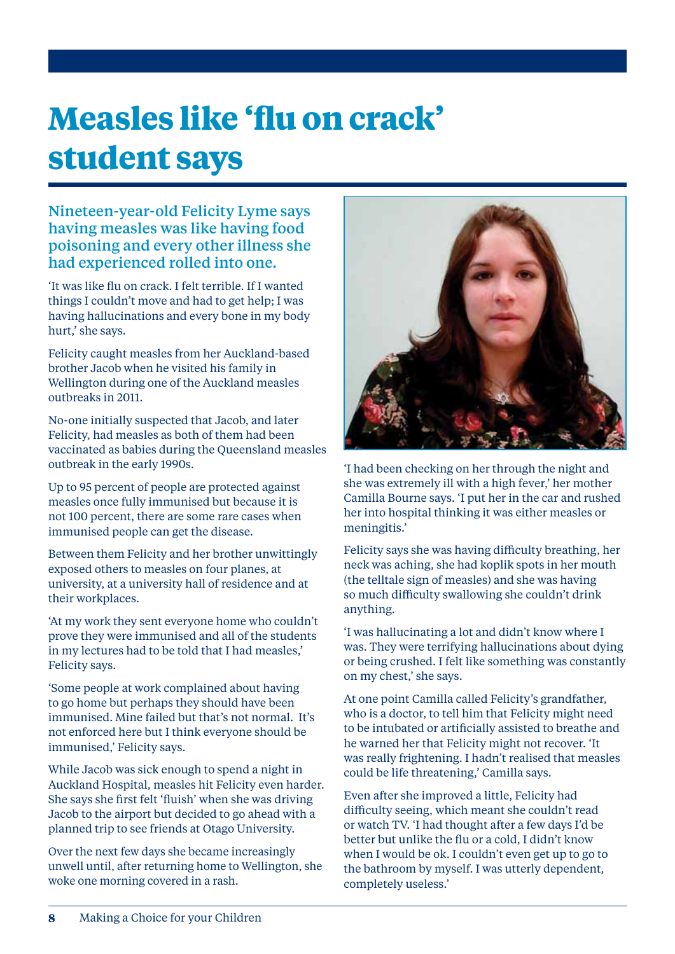## **Measles like 'flu on crack' student says**

#### Nineteen-year-old Felicity Lyme says having measles was like having food poisoning and every other illness she had experienced rolled into one.

'It was like flu on crack. I felt terrible. If I wanted things I couldn't move and had to get help; I was having hallucinations and every bone in my body hurt,' she says.

Felicity caught measles from her Auckland-based brother Jacob when he visited his family in Wellington during one of the Auckland measles outbreaks in 2011.

No-one initially suspected that Jacob, and later Felicity, had measles as both of them had been vaccinated as babies during the Queensland measles outbreak in the early 1990s.

Up to 95 percent of people are protected against measles once fully immunised but because it is not 100 percent, there are some rare cases when immunised people can get the disease.

Between them Felicity and her brother unwittingly exposed others to measles on four planes, at university, at a university hall of residence and at their workplaces.

'At my work they sent everyone home who couldn't prove they were immunised and all of the students in my lectures had to be told that I had measles,' Felicity says.

'Some people at work complained about having to go home but perhaps they should have been immunised. Mine failed but that's not normal. It's not enforced here but I think everyone should be immunised,' Felicity says.

While Jacob was sick enough to spend a night in Auckland Hospital, measles hit Felicity even harder. She says she first felt 'fluish' when she was driving Jacob to the airport but decided to go ahead with a planned trip to see friends at Otago University.

Over the next few days she became increasingly unwell until, after returning home to Wellington, she woke one morning covered in a rash.



'I had been checking on her through the night and she was extremely ill with a high fever,' her mother Camilla Bourne says. 'I put her in the car and rushed her into hospital thinking it was either measles or meningitis.'

Felicity says she was having difficulty breathing, her neck was aching, she had koplik spots in her mouth (the telltale sign of measles) and she was having so much difficulty swallowing she couldn't drink anything.

'I was hallucinating a lot and didn't know where I was. They were terrifying hallucinations about dying or being crushed. I felt like something was constantly on my chest,' she says.

At one point Camilla called Felicity's grandfather, who is a doctor, to tell him that Felicity might need to be intubated or artificially assisted to breathe and he warned her that Felicity might not recover. 'It was really frightening. I hadn't realised that measles could be life threatening,' Camilla says.

Even after she improved a little, Felicity had difficulty seeing, which meant she couldn't read or watch TV. 'I had thought after a few days I'd be better but unlike the flu or a cold, I didn't know when I would be ok. I couldn't even get up to go to the bathroom by myself. I was utterly dependent, completely useless.'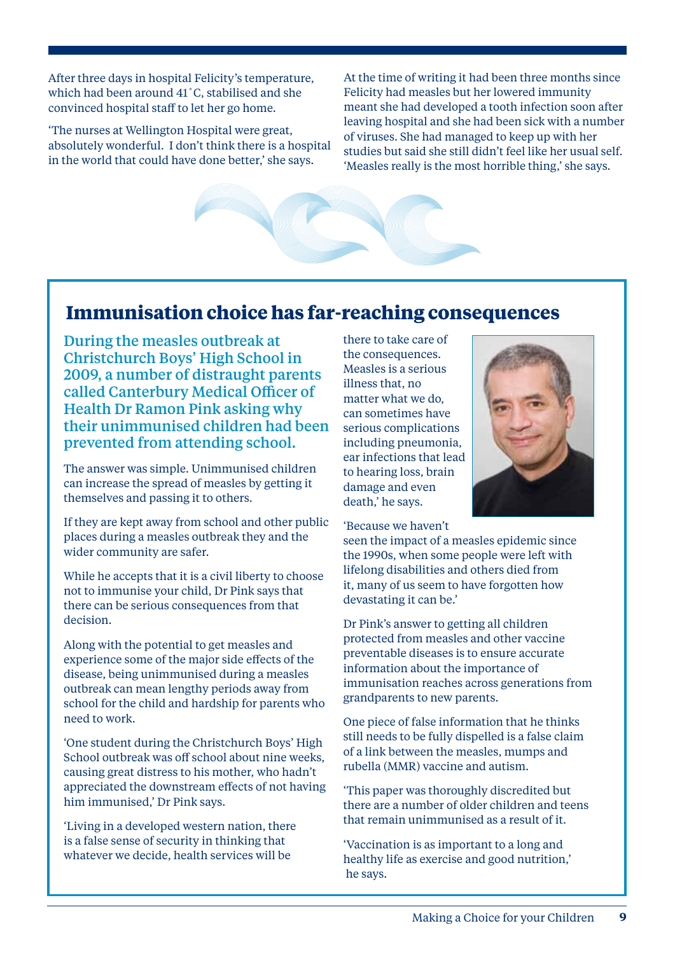After three days in hospital Felicity's temperature, which had been around 41˚C, stabilised and she convinced hospital staff to let her go home.

'The nurses at Wellington Hospital were great, absolutely wonderful. I don't think there is a hospital in the world that could have done better,' she says.

At the time of writing it had been three months since Felicity had measles but her lowered immunity meant she had developed a tooth infection soon after leaving hospital and she had been sick with a number of viruses. She had managed to keep up with her studies but said she still didn't feel like her usual self. 'Measles really is the most horrible thing,' she says.

#### **Immunisation choice has far-reaching consequences**

During the measles outbreak at Christchurch Boys' High School in 2009, a number of distraught parents called Canterbury Medical Officer of Health Dr Ramon Pink asking why their unimmunised children had been prevented from attending school.

The answer was simple. Unimmunised children can increase the spread of measles by getting it themselves and passing it to others.

If they are kept away from school and other public places during a measles outbreak they and the wider community are safer.

While he accepts that it is a civil liberty to choose not to immunise your child, Dr Pink says that there can be serious consequences from that decision.

Along with the potential to get measles and experience some of the major side effects of the disease, being unimmunised during a measles outbreak can mean lengthy periods away from school for the child and hardship for parents who need to work.

'One student during the Christchurch Boys' High School outbreak was off school about nine weeks, causing great distress to his mother, who hadn't appreciated the downstream effects of not having him immunised,' Dr Pink says.

'Living in a developed western nation, there is a false sense of security in thinking that whatever we decide, health services will be

there to take care of the consequences. Measles is a serious illness that, no matter what we do, can sometimes have serious complications including pneumonia, ear infections that lead to hearing loss, brain damage and even death,' he says.

'Because we haven't

seen the impact of a measles epidemic since the 1990s, when some people were left with lifelong disabilities and others died from it, many of us seem to have forgotten how devastating it can be.'

Dr Pink's answer to getting all children protected from measles and other vaccine preventable diseases is to ensure accurate information about the importance of immunisation reaches across generations from grandparents to new parents.

One piece of false information that he thinks still needs to be fully dispelled is a false claim of a link between the measles, mumps and rubella (MMR) vaccine and autism.

'This paper was thoroughly discredited but there are a number of older children and teens that remain unimmunised as a result of it.

'Vaccination is as important to a long and healthy life as exercise and good nutrition,' he says.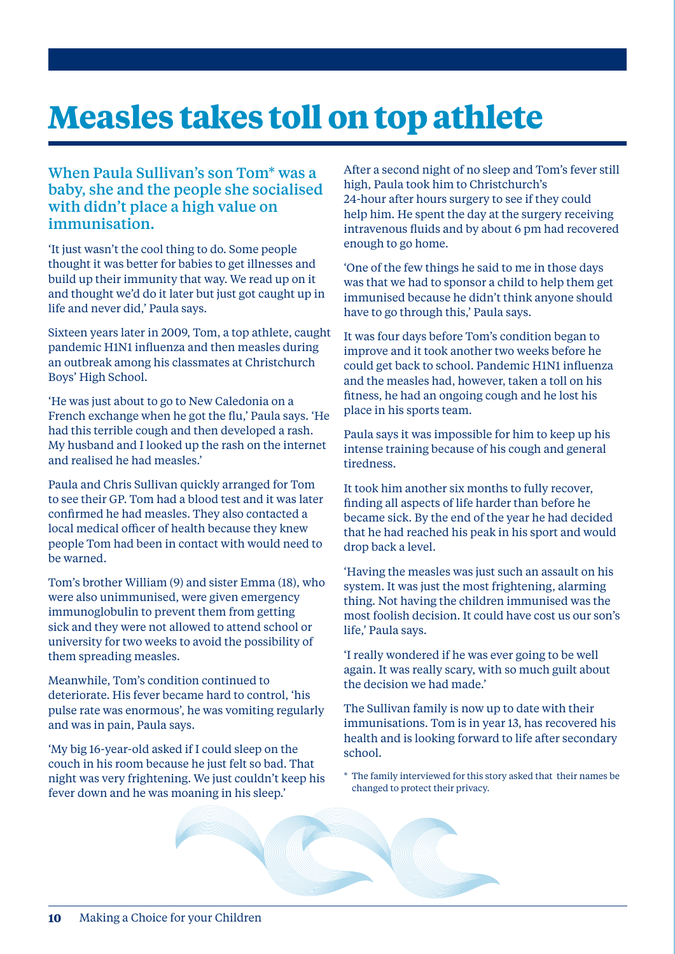### **Measles takes toll on top athlete**

#### When Paula Sullivan's son Tom\* was a baby, she and the people she socialised with didn't place a high value on immunisation.

'It just wasn't the cool thing to do. Some people thought it was better for babies to get illnesses and build up their immunity that way. We read up on it and thought we'd do it later but just got caught up in life and never did,' Paula says.

Sixteen years later in 2009, Tom, a top athlete, caught pandemic H1N1 influenza and then measles during an outbreak among his classmates at Christchurch Boys' High School.

'He was just about to go to New Caledonia on a French exchange when he got the flu,' Paula says. 'He had this terrible cough and then developed a rash. My husband and I looked up the rash on the internet and realised he had measles.'

Paula and Chris Sullivan quickly arranged for Tom to see their GP. Tom had a blood test and it was later confirmed he had measles. They also contacted a local medical officer of health because they knew people Tom had been in contact with would need to be warned.

Tom's brother William (9) and sister Emma (18), who were also unimmunised, were given emergency immunoglobulin to prevent them from getting sick and they were not allowed to attend school or university for two weeks to avoid the possibility of them spreading measles.

Meanwhile, Tom's condition continued to deteriorate. His fever became hard to control, 'his pulse rate was enormous', he was vomiting regularly and was in pain, Paula says.

'My big 16-year-old asked if I could sleep on the couch in his room because he just felt so bad. That night was very frightening. We just couldn't keep his fever down and he was moaning in his sleep.'

After a second night of no sleep and Tom's fever still high, Paula took him to Christchurch's 24-hour after hours surgery to see if they could help him. He spent the day at the surgery receiving intravenous fluids and by about 6 pm had recovered enough to go home.

'One of the few things he said to me in those days was that we had to sponsor a child to help them get immunised because he didn't think anyone should have to go through this,' Paula says.

It was four days before Tom's condition began to improve and it took another two weeks before he could get back to school. Pandemic H1N1 influenza and the measles had, however, taken a toll on his fitness, he had an ongoing cough and he lost his place in his sports team.

Paula says it was impossible for him to keep up his intense training because of his cough and general tiredness.

It took him another six months to fully recover, finding all aspects of life harder than before he became sick. By the end of the year he had decided that he had reached his peak in his sport and would drop back a level.

'Having the measles was just such an assault on his system. It was just the most frightening, alarming thing. Not having the children immunised was the most foolish decision. It could have cost us our son's life,' Paula says.

'I really wondered if he was ever going to be well again. It was really scary, with so much guilt about the decision we had made.'

The Sullivan family is now up to date with their immunisations. Tom is in year 13, has recovered his health and is looking forward to life after secondary school.

\* The family interviewed for this story asked that their names be changed to protect their privacy.